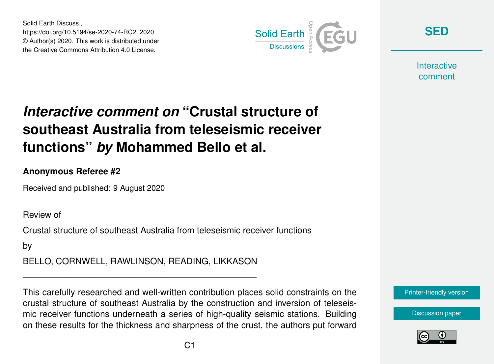Solid Earth Discuss., https://doi.org/10.5194/se-2020-74-RC2, 2020 © Author(s) 2020. This work is distributed under the Creative Commons Attribution 4.0 License.



**[SED](https://se.copernicus.org/preprints/)**

**Interactive** comment

# *Interactive comment on* **"Crustal structure of southeast Australia from teleseismic receiver functions"** *by* **Mohammed Bello et al.**

### **Anonymous Referee #2**

Received and published: 9 August 2020

Review of

Crustal structure of southeast Australia from teleseismic receiver functions

by

BELLO, CORNWELL, RAWLINSON, READING, LIKKASON

——————————————————————————–

This carefully researched and well-written contribution places solid constraints on the crustal structure of southeast Australia by the construction and inversion of teleseismic receiver functions underneath a series of high-quality seismic stations. Building on these results for the thickness and sharpness of the crust, the authors put forward



[Discussion paper](https://se.copernicus.org/preprints/se-2020-74)

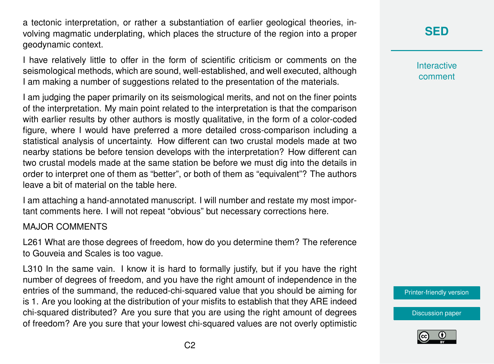a tectonic interpretation, or rather a substantiation of earlier geological theories, involving magmatic underplating, which places the structure of the region into a proper geodynamic context.

I have relatively little to offer in the form of scientific criticism or comments on the seismological methods, which are sound, well-established, and well executed, although I am making a number of suggestions related to the presentation of the materials.

I am judging the paper primarily on its seismological merits, and not on the finer points of the interpretation. My main point related to the interpretation is that the comparison with earlier results by other authors is mostly qualitative, in the form of a color-coded figure, where I would have preferred a more detailed cross-comparison including a statistical analysis of uncertainty. How different can two crustal models made at two nearby stations be before tension develops with the interpretation? How different can two crustal models made at the same station be before we must dig into the details in order to interpret one of them as "better", or both of them as "equivalent"? The authors leave a bit of material on the table here.

I am attaching a hand-annotated manuscript. I will number and restate my most important comments here. I will not repeat "obvious" but necessary corrections here.

#### MAJOR COMMENTS

L261 What are those degrees of freedom, how do you determine them? The reference to Gouveia and Scales is too vague.

L310 In the same vain. I know it is hard to formally justify, but if you have the right number of degrees of freedom, and you have the right amount of independence in the entries of the summand, the reduced-chi-squared value that you should be aiming for is 1. Are you looking at the distribution of your misfits to establish that they ARE indeed chi-squared distributed? Are you sure that you are using the right amount of degrees of freedom? Are you sure that your lowest chi-squared values are not overly optimistic

## **[SED](https://se.copernicus.org/preprints/)**

**Interactive** comment

[Printer-friendly version](https://se.copernicus.org/preprints/se-2020-74/se-2020-74-RC2-print.pdf)

[Discussion paper](https://se.copernicus.org/preprints/se-2020-74)

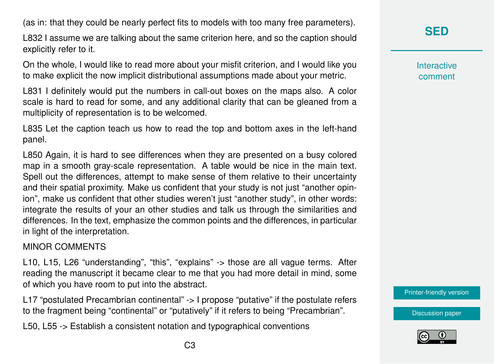(as in: that they could be nearly perfect fits to models with too many free parameters).

L832 I assume we are talking about the same criterion here, and so the caption should explicitly refer to it.

On the whole, I would like to read more about your misfit criterion, and I would like you to make explicit the now implicit distributional assumptions made about your metric.

L831 I definitely would put the numbers in call-out boxes on the maps also. A color scale is hard to read for some, and any additional clarity that can be gleaned from a multiplicity of representation is to be welcomed.

L835 Let the caption teach us how to read the top and bottom axes in the left-hand panel.

L850 Again, it is hard to see differences when they are presented on a busy colored map in a smooth gray-scale representation. A table would be nice in the main text. Spell out the differences, attempt to make sense of them relative to their uncertainty and their spatial proximity. Make us confident that your study is not just "another opinion", make us confident that other studies weren't just "another study", in other words: integrate the results of your an other studies and talk us through the similarities and differences. In the text, emphasize the common points and the differences, in particular in light of the interpretation.

### MINOR COMMENTS

L10, L15, L26 "understanding", "this", "explains" -> those are all vague terms. After reading the manuscript it became clear to me that you had more detail in mind, some of which you have room to put into the abstract.

L17 "postulated Precambrian continental" -> I propose "putative" if the postulate refers to the fragment being "continental" or "putatively" if it refers to being "Precambrian".

L50, L55 -> Establish a consistent notation and typographical conventions

**Interactive** comment

[Printer-friendly version](https://se.copernicus.org/preprints/se-2020-74/se-2020-74-RC2-print.pdf)

[Discussion paper](https://se.copernicus.org/preprints/se-2020-74)